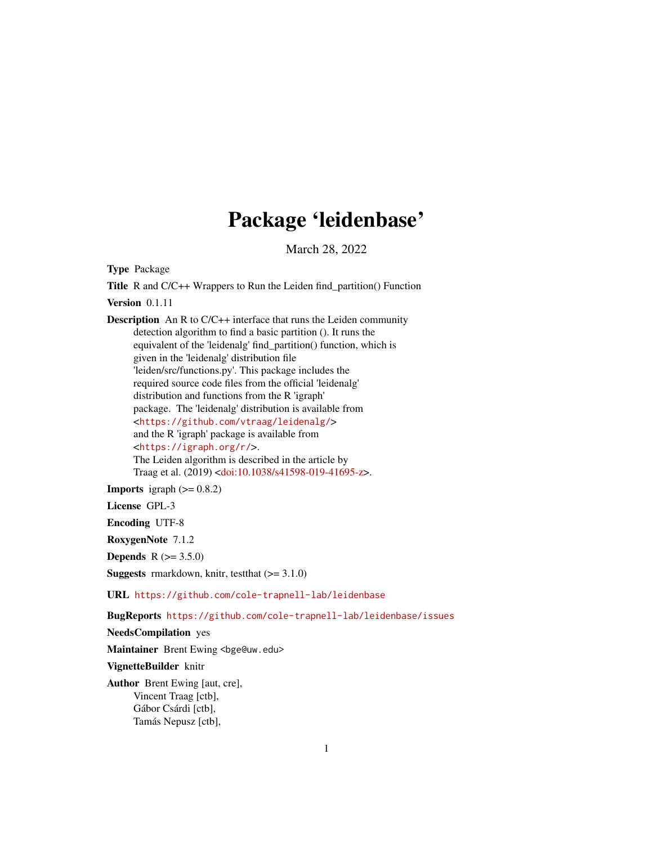## Package 'leidenbase'

March 28, 2022

Type Package

Title R and C/C++ Wrappers to Run the Leiden find\_partition() Function Version 0.1.11

Description An R to C/C++ interface that runs the Leiden community detection algorithm to find a basic partition (). It runs the equivalent of the 'leidenalg' find\_partition() function, which is given in the 'leidenalg' distribution file 'leiden/src/functions.py'. This package includes the required source code files from the official 'leidenalg' distribution and functions from the R 'igraph' package. The 'leidenalg' distribution is available from <<https://github.com/vtraag/leidenalg/>> and the R 'igraph' package is available from <<https://igraph.org/r/>>. The Leiden algorithm is described in the article by Traag et al. (2019) [<doi:10.1038/s41598-019-41695-z>](https://doi.org/10.1038/s41598-019-41695-z).

**Imports** igraph  $(>= 0.8.2)$ 

License GPL-3

Encoding UTF-8

RoxygenNote 7.1.2

**Depends** R  $(>= 3.5.0)$ 

**Suggests** rmarkdown, knitr, test that  $(>= 3.1.0)$ 

URL <https://github.com/cole-trapnell-lab/leidenbase>

BugReports <https://github.com/cole-trapnell-lab/leidenbase/issues>

NeedsCompilation yes

Maintainer Brent Ewing <br/>bge@uw.edu>

VignetteBuilder knitr

Author Brent Ewing [aut, cre], Vincent Traag [ctb], Gábor Csárdi [ctb], Tamás Nepusz [ctb],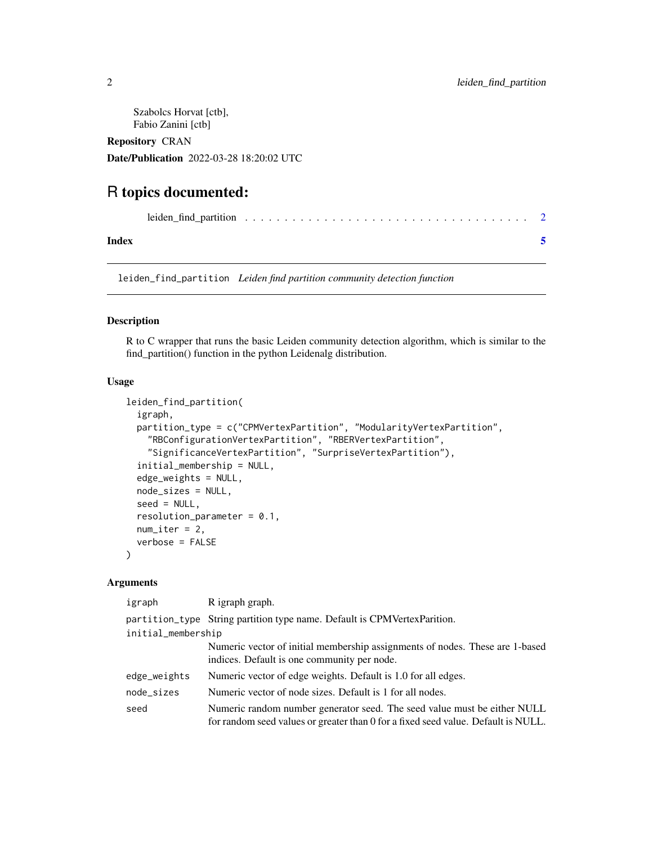<span id="page-1-0"></span>Szabolcs Horvat [ctb], Fabio Zanini [ctb]

Repository CRAN

Date/Publication 2022-03-28 18:20:02 UTC

### R topics documented:

| Index |  |
|-------|--|

leiden\_find\_partition *Leiden find partition community detection function*

#### Description

R to C wrapper that runs the basic Leiden community detection algorithm, which is similar to the find\_partition() function in the python Leidenalg distribution.

#### Usage

```
leiden_find_partition(
  igraph,
  partition_type = c("CPMVertexPartition", "ModularityVertexPartition",
    "RBConfigurationVertexPartition", "RBERVertexPartition",
    "SignificanceVertexPartition", "SurpriseVertexPartition"),
  initial_membership = NULL,
  edge_weights = NULL,
  node_sizes = NULL,
  seed = NULL,
  resolution\_parameter = 0.1,
  num\_iter = 2,
  verbose = FALSE
\lambda
```
#### Arguments

| igraph             | R igraph graph.                                                                                                                                               |
|--------------------|---------------------------------------------------------------------------------------------------------------------------------------------------------------|
|                    | partition_type String partition type name. Default is CPMVertex Parition.                                                                                     |
| initial_membership |                                                                                                                                                               |
|                    | Numeric vector of initial membership assignments of nodes. These are 1-based<br>indices. Default is one community per node.                                   |
| edge_weights       | Numeric vector of edge weights. Default is 1.0 for all edges.                                                                                                 |
| node_sizes         | Numeric vector of node sizes. Default is 1 for all nodes.                                                                                                     |
| seed               | Numeric random number generator seed. The seed value must be either NULL<br>for random seed values or greater than 0 for a fixed seed value. Default is NULL. |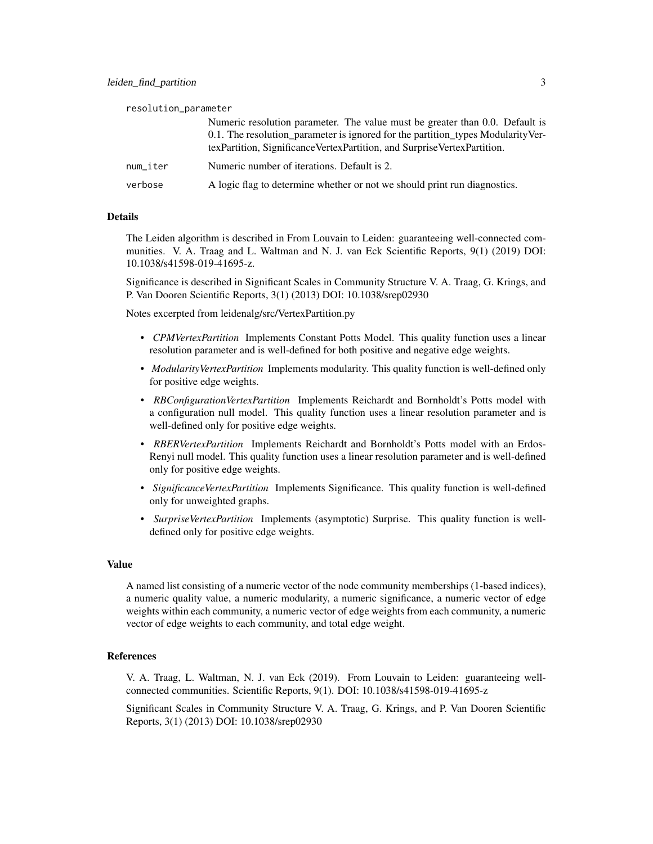| Numeric resolution parameter. The value must be greater than 0.0. Default is    |
|---------------------------------------------------------------------------------|
| 0.1. The resolution_parameter is ignored for the partition_types ModularityVer- |
| texPartition, SignificanceVertexPartition, and SurpriseVertexPartition.         |

num iter Numeric number of iterations. Default is 2.

```
verbose A logic flag to determine whether or not we should print run diagnostics.
```
#### Details

The Leiden algorithm is described in From Louvain to Leiden: guaranteeing well-connected communities. V. A. Traag and L. Waltman and N. J. van Eck Scientific Reports, 9(1) (2019) DOI: 10.1038/s41598-019-41695-z.

Significance is described in Significant Scales in Community Structure V. A. Traag, G. Krings, and P. Van Dooren Scientific Reports, 3(1) (2013) DOI: 10.1038/srep02930

Notes excerpted from leidenalg/src/VertexPartition.py

- *CPMVertexPartition* Implements Constant Potts Model. This quality function uses a linear resolution parameter and is well-defined for both positive and negative edge weights.
- *ModularityVertexPartition* Implements modularity. This quality function is well-defined only for positive edge weights.
- *RBConfigurationVertexPartition* Implements Reichardt and Bornholdt's Potts model with a configuration null model. This quality function uses a linear resolution parameter and is well-defined only for positive edge weights.
- *RBERVertexPartition* Implements Reichardt and Bornholdt's Potts model with an Erdos-Renyi null model. This quality function uses a linear resolution parameter and is well-defined only for positive edge weights.
- *SignificanceVertexPartition* Implements Significance. This quality function is well-defined only for unweighted graphs.
- *SurpriseVertexPartition* Implements (asymptotic) Surprise. This quality function is welldefined only for positive edge weights.

#### Value

A named list consisting of a numeric vector of the node community memberships (1-based indices), a numeric quality value, a numeric modularity, a numeric significance, a numeric vector of edge weights within each community, a numeric vector of edge weights from each community, a numeric vector of edge weights to each community, and total edge weight.

#### References

V. A. Traag, L. Waltman, N. J. van Eck (2019). From Louvain to Leiden: guaranteeing wellconnected communities. Scientific Reports, 9(1). DOI: 10.1038/s41598-019-41695-z

Significant Scales in Community Structure V. A. Traag, G. Krings, and P. Van Dooren Scientific Reports, 3(1) (2013) DOI: 10.1038/srep02930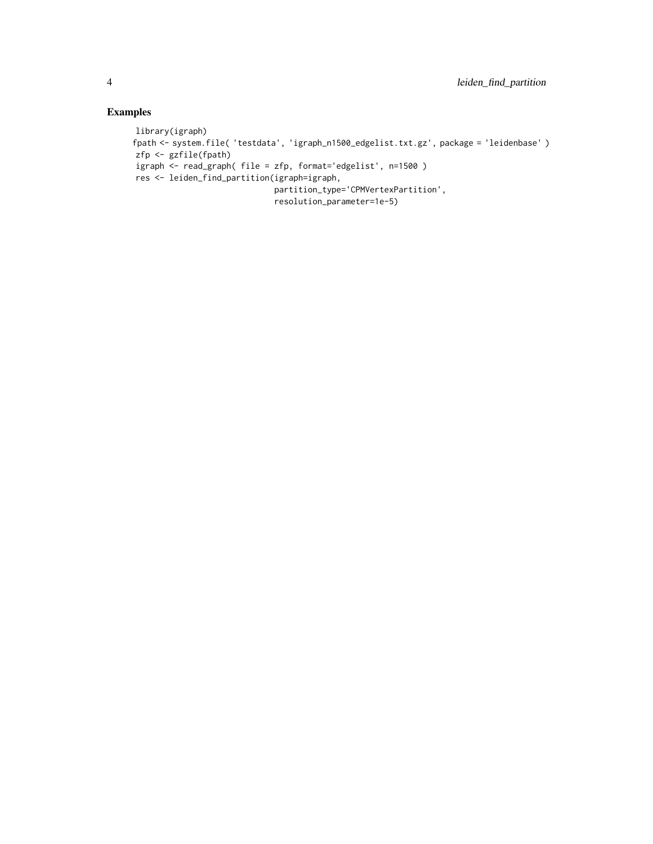#### Examples

```
library(igraph)
fpath <- system.file( 'testdata', 'igraph_n1500_edgelist.txt.gz', package = 'leidenbase' )
zfp <- gzfile(fpath)
igraph <- read_graph( file = zfp, format='edgelist', n=1500 )
res <- leiden_find_partition(igraph=igraph,
                             partition_type='CPMVertexPartition',
                             resolution_parameter=1e-5)
```